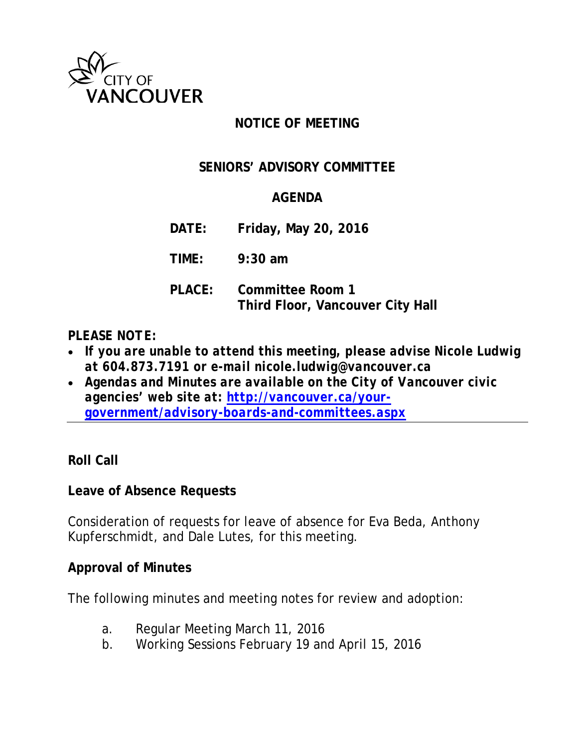

# **NOTICE OF MEETING**

## **SENIORS' ADVISORY COMMITTEE**

### **AGENDA**

**DATE: Friday, May 20, 2016**

**TIME: 9:30 am**

**PLACE: Committee Room 1 Third Floor, Vancouver City Hall**

### *PLEASE NOTE:*

- *If you are unable to attend this meeting, please advise Nicole Ludwig at 604.873.7191 or e-mail nicole.ludwig@vancouver.ca*
- *Agendas and Minutes are available on the City of Vancouver civic agencies' web site at: [http://vancouver.ca/your](http://vancouver.ca/your-government/advisory-boards-and-committees.aspx)[government/advisory-boards-and-committees.aspx](http://vancouver.ca/your-government/advisory-boards-and-committees.aspx)*

### **Roll Call**

### **Leave of Absence Requests**

Consideration of requests for leave of absence for Eva Beda, Anthony Kupferschmidt, and Dale Lutes, for this meeting.

### **Approval of Minutes**

The following minutes and meeting notes for review and adoption:

- a. Regular Meeting March 11, 2016
- b. Working Sessions February 19 and April 15, 2016